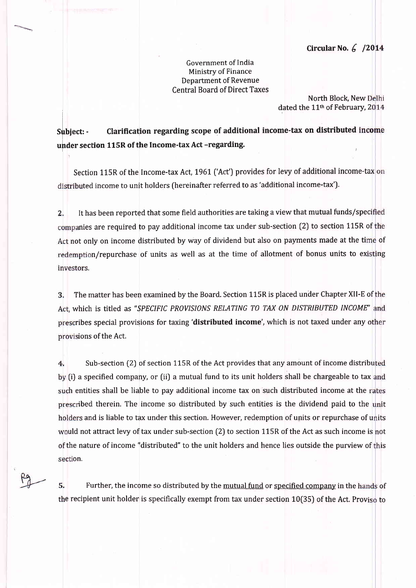## Circular No.  $6/2014$

Government of India Ministry of Finance **Department of Revenue Central Board of Direct Taxes** 

> North Block, New Delhi dated the 11<sup>th</sup> of February, 2014

Clarification regarding scope of additional income-tax on distributed income Subject: under section 115R of the Income-tax Act -regarding.

Section 115R of the Income-tax Act, 1961 ('Act') provides for levy of additional income-tax on distributed income to unit holders (hereinafter referred to as 'additional income-tax').

It has been reported that some field authorities are taking a view that mutual funds/specified  $2.$ companies are required to pay additional income tax under sub-section (2) to section 115R of the Act not only on income distributed by way of dividend but also on payments made at the time of redemption/repurchase of units as well as at the time of allotment of bonus units to existing investors.

The matter has been examined by the Board. Section 115R is placed under Chapter XII-E of the 3. Act, which is titled as "SPECIFIC PROVISIONS RELATING TO TAX ON DISTRIBUTED INCOME" and prescribes special provisions for taxing 'distributed income', which is not taxed under any other provisions of the Act.

Sub-section (2) of section 115R of the Act provides that any amount of income distributed 4. by (i) a specified company, or (ii) a mutual fund to its unit holders shall be chargeable to tax and such entities shall be liable to pay additional income tax on such distributed income at the rates prescribed therein. The income so distributed by such entities is the dividend paid to the unit holders and is liable to tax under this section. However, redemption of units or repurchase of units would not attract levy of tax under sub-section (2) to section 115R of the Act as such income is not of the nature of income "distributed" to the unit holders and hence lies outside the purview of this section.

5. Further, the income so distributed by the mutual fund or specified company in the hands of the recipient unit holder is specifically exempt from tax under section 10(35) of the Act. Proviso to